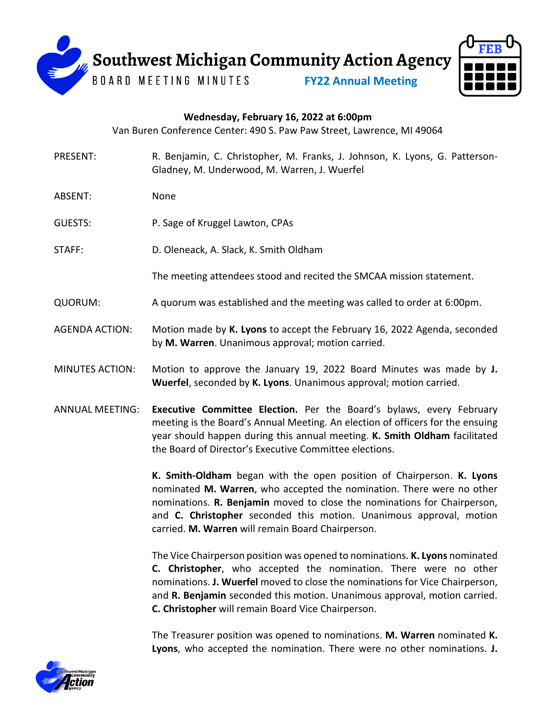

## **Wednesday, February 16, 2022 at 6:00pm**

Van Buren Conference Center: 490 S. Paw Paw Street, Lawrence, MI 49064

- PRESENT: R. Benjamin, C. Christopher, M. Franks, J. Johnson, K. Lyons, G. Patterson-Gladney, M. Underwood, M. Warren, J. Wuerfel
- ABSENT: None
- GUESTS: P. Sage of Kruggel Lawton, CPAs
- STAFF: D. Oleneack, A. Slack, K. Smith Oldham

The meeting attendees stood and recited the SMCAA mission statement.

- QUORUM: A quorum was established and the meeting was called to order at 6:00pm.
- AGENDA ACTION: Motion made by **K. Lyons** to accept the February 16, 2022 Agenda, seconded by **M. Warren**. Unanimous approval; motion carried.
- MINUTES ACTION: Motion to approve the January 19, 2022 Board Minutes was made by **J. Wuerfel**, seconded by **K. Lyons**. Unanimous approval; motion carried.
- ANNUAL MEETING: **Executive Committee Election.** Per the Board's bylaws, every February meeting is the Board's Annual Meeting. An election of officers for the ensuing year should happen during this annual meeting. **K. Smith Oldham** facilitated the Board of Director's Executive Committee elections.

**K. Smith-Oldham** began with the open position of Chairperson. **K. Lyons** nominated **M. Warren**, who accepted the nomination. There were no other nominations. **R. Benjamin** moved to close the nominations for Chairperson, and **C. Christopher** seconded this motion. Unanimous approval, motion carried. **M. Warren** will remain Board Chairperson.

The Vice Chairperson position was opened to nominations. **K. Lyons** nominated **C. Christopher**, who accepted the nomination. There were no other nominations. **J. Wuerfel** moved to close the nominations for Vice Chairperson, and **R. Benjamin** seconded this motion. Unanimous approval, motion carried. **C. Christopher** will remain Board Vice Chairperson.

The Treasurer position was opened to nominations. **M. Warren** nominated **K. Lyons**, who accepted the nomination. There were no other nominations. **J.** 

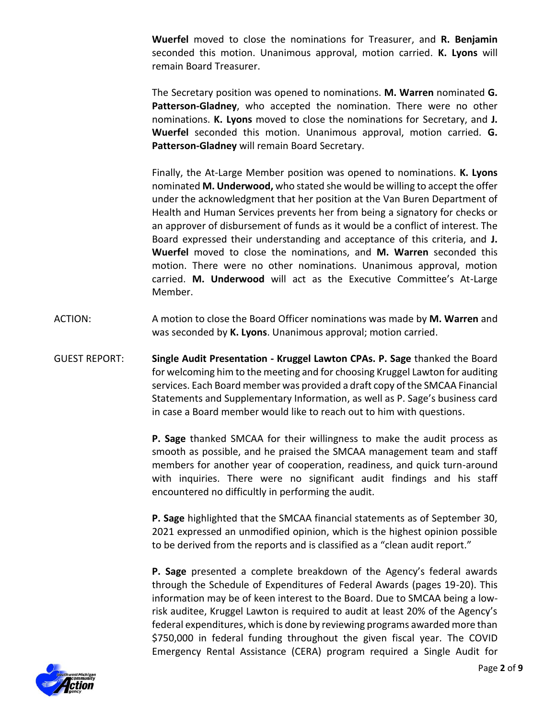**Wuerfel** moved to close the nominations for Treasurer, and **R. Benjamin** seconded this motion. Unanimous approval, motion carried. **K. Lyons** will remain Board Treasurer.

The Secretary position was opened to nominations. **M. Warren** nominated **G. Patterson-Gladney**, who accepted the nomination. There were no other nominations. **K. Lyons** moved to close the nominations for Secretary, and **J. Wuerfel** seconded this motion. Unanimous approval, motion carried. **G. Patterson-Gladney** will remain Board Secretary.

Finally, the At-Large Member position was opened to nominations. **K. Lyons** nominated **M. Underwood,** who stated she would be willing to accept the offer under the acknowledgment that her position at the Van Buren Department of Health and Human Services prevents her from being a signatory for checks or an approver of disbursement of funds as it would be a conflict of interest. The Board expressed their understanding and acceptance of this criteria, and **J. Wuerfel** moved to close the nominations, and **M. Warren** seconded this motion. There were no other nominations. Unanimous approval, motion carried. **M. Underwood** will act as the Executive Committee's At-Large Member.

- ACTION: A motion to close the Board Officer nominations was made by **M. Warren** and was seconded by **K. Lyons**. Unanimous approval; motion carried.
- GUEST REPORT: **Single Audit Presentation - Kruggel Lawton CPAs. P. Sage** thanked the Board for welcoming him to the meeting and for choosing Kruggel Lawton for auditing services. Each Board member was provided a draft copy of the SMCAA Financial Statements and Supplementary Information, as well as P. Sage's business card in case a Board member would like to reach out to him with questions.

**P. Sage** thanked SMCAA for their willingness to make the audit process as smooth as possible, and he praised the SMCAA management team and staff members for another year of cooperation, readiness, and quick turn-around with inquiries. There were no significant audit findings and his staff encountered no difficultly in performing the audit.

**P. Sage** highlighted that the SMCAA financial statements as of September 30, 2021 expressed an unmodified opinion, which is the highest opinion possible to be derived from the reports and is classified as a "clean audit report."

**P. Sage** presented a complete breakdown of the Agency's federal awards through the Schedule of Expenditures of Federal Awards (pages 19-20). This information may be of keen interest to the Board. Due to SMCAA being a lowrisk auditee, Kruggel Lawton is required to audit at least 20% of the Agency's federal expenditures, which is done by reviewing programs awarded more than \$750,000 in federal funding throughout the given fiscal year. The COVID Emergency Rental Assistance (CERA) program required a Single Audit for

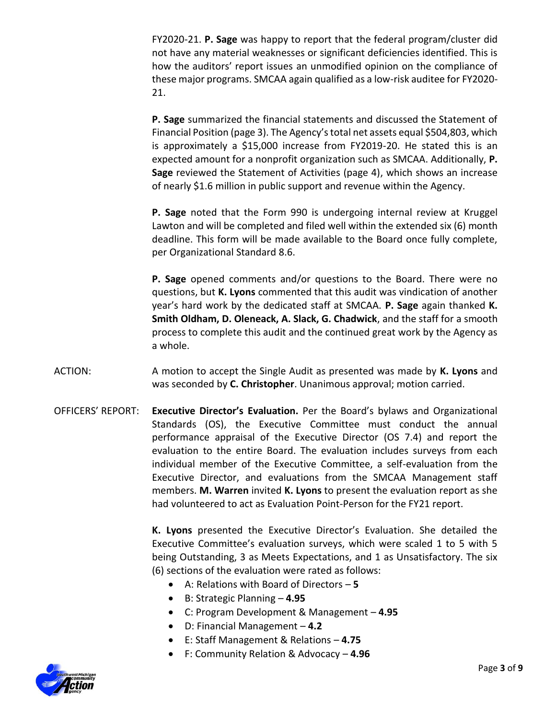FY2020-21. **P. Sage** was happy to report that the federal program/cluster did not have any material weaknesses or significant deficiencies identified. This is how the auditors' report issues an unmodified opinion on the compliance of these major programs. SMCAA again qualified as a low-risk auditee for FY2020- 21.

**P. Sage** summarized the financial statements and discussed the Statement of Financial Position (page 3). The Agency's total net assets equal \$504,803, which is approximately a \$15,000 increase from FY2019-20. He stated this is an expected amount for a nonprofit organization such as SMCAA. Additionally, **P. Sage** reviewed the Statement of Activities (page 4), which shows an increase of nearly \$1.6 million in public support and revenue within the Agency.

**P. Sage** noted that the Form 990 is undergoing internal review at Kruggel Lawton and will be completed and filed well within the extended six (6) month deadline. This form will be made available to the Board once fully complete, per Organizational Standard 8.6.

**P. Sage** opened comments and/or questions to the Board. There were no questions, but **K. Lyons** commented that this audit was vindication of another year's hard work by the dedicated staff at SMCAA. **P. Sage** again thanked **K. Smith Oldham, D. Oleneack, A. Slack, G. Chadwick**, and the staff for a smooth process to complete this audit and the continued great work by the Agency as a whole.

- ACTION: A motion to accept the Single Audit as presented was made by **K. Lyons** and was seconded by **C. Christopher**. Unanimous approval; motion carried.
- OFFICERS' REPORT: **Executive Director's Evaluation.** Per the Board's bylaws and Organizational Standards (OS), the Executive Committee must conduct the annual performance appraisal of the Executive Director (OS 7.4) and report the evaluation to the entire Board. The evaluation includes surveys from each individual member of the Executive Committee, a self-evaluation from the Executive Director, and evaluations from the SMCAA Management staff members. **M. Warren** invited **K. Lyons** to present the evaluation report as she had volunteered to act as Evaluation Point-Person for the FY21 report.

**K. Lyons** presented the Executive Director's Evaluation. She detailed the Executive Committee's evaluation surveys, which were scaled 1 to 5 with 5 being Outstanding, 3 as Meets Expectations, and 1 as Unsatisfactory. The six (6) sections of the evaluation were rated as follows:

- A: Relations with Board of Directors **5**
- B: Strategic Planning **4.95**
- C: Program Development & Management **4.95**
- D: Financial Management **4.2**
- E: Staff Management & Relations **4.75**
- F: Community Relation & Advocacy **4.96**

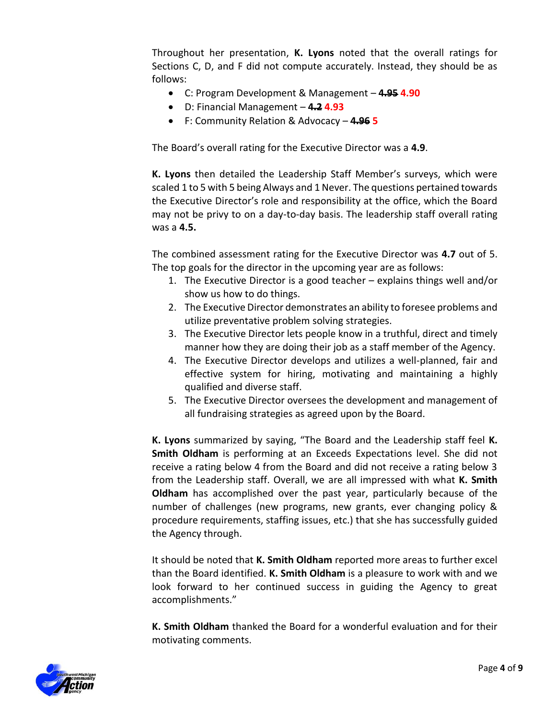Throughout her presentation, **K. Lyons** noted that the overall ratings for Sections C, D, and F did not compute accurately. Instead, they should be as follows:

- C: Program Development & Management **4.95 4.90**
- D: Financial Management **4.2 4.93**
- F: Community Relation & Advocacy **4.96 5**

The Board's overall rating for the Executive Director was a **4.9**.

**K. Lyons** then detailed the Leadership Staff Member's surveys, which were scaled 1 to 5 with 5 being Always and 1 Never. The questions pertained towards the Executive Director's role and responsibility at the office, which the Board may not be privy to on a day-to-day basis. The leadership staff overall rating was a **4.5.** 

The combined assessment rating for the Executive Director was **4.7** out of 5. The top goals for the director in the upcoming year are as follows:

- 1. The Executive Director is a good teacher explains things well and/or show us how to do things.
- 2. The Executive Director demonstrates an ability to foresee problems and utilize preventative problem solving strategies.
- 3. The Executive Director lets people know in a truthful, direct and timely manner how they are doing their job as a staff member of the Agency.
- 4. The Executive Director develops and utilizes a well-planned, fair and effective system for hiring, motivating and maintaining a highly qualified and diverse staff.
- 5. The Executive Director oversees the development and management of all fundraising strategies as agreed upon by the Board.

**K. Lyons** summarized by saying, "The Board and the Leadership staff feel **K. Smith Oldham** is performing at an Exceeds Expectations level. She did not receive a rating below 4 from the Board and did not receive a rating below 3 from the Leadership staff. Overall, we are all impressed with what **K. Smith Oldham** has accomplished over the past year, particularly because of the number of challenges (new programs, new grants, ever changing policy & procedure requirements, staffing issues, etc.) that she has successfully guided the Agency through.

It should be noted that **K. Smith Oldham** reported more areas to further excel than the Board identified. **K. Smith Oldham** is a pleasure to work with and we look forward to her continued success in guiding the Agency to great accomplishments."

**K. Smith Oldham** thanked the Board for a wonderful evaluation and for their motivating comments.

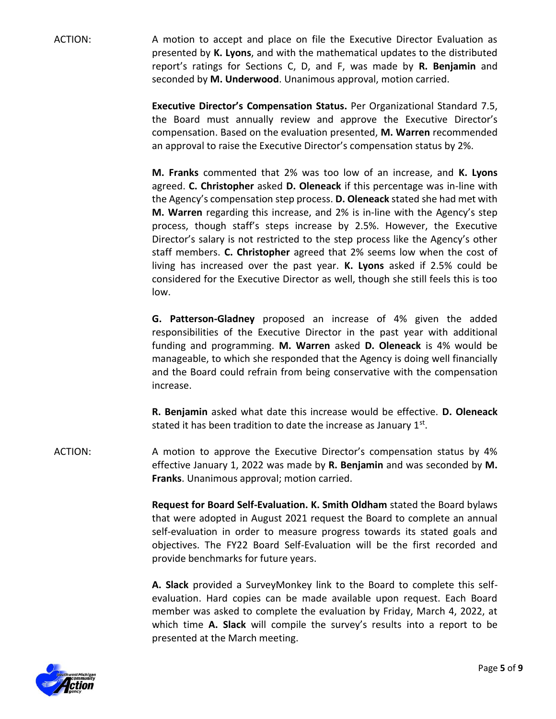ACTION: A motion to accept and place on file the Executive Director Evaluation as presented by **K. Lyons**, and with the mathematical updates to the distributed report's ratings for Sections C, D, and F, was made by **R. Benjamin** and seconded by **M. Underwood**. Unanimous approval, motion carried.

> **Executive Director's Compensation Status.** Per Organizational Standard 7.5, the Board must annually review and approve the Executive Director's compensation. Based on the evaluation presented, **M. Warren** recommended an approval to raise the Executive Director's compensation status by 2%.

> **M. Franks** commented that 2% was too low of an increase, and **K. Lyons** agreed. **C. Christopher** asked **D. Oleneack** if this percentage was in-line with the Agency's compensation step process. **D. Oleneack** stated she had met with **M. Warren** regarding this increase, and 2% is in-line with the Agency's step process, though staff's steps increase by 2.5%. However, the Executive Director's salary is not restricted to the step process like the Agency's other staff members. **C. Christopher** agreed that 2% seems low when the cost of living has increased over the past year. **K. Lyons** asked if 2.5% could be considered for the Executive Director as well, though she still feels this is too low.

> **G. Patterson-Gladney** proposed an increase of 4% given the added responsibilities of the Executive Director in the past year with additional funding and programming. **M. Warren** asked **D. Oleneack** is 4% would be manageable, to which she responded that the Agency is doing well financially and the Board could refrain from being conservative with the compensation increase.

> **R. Benjamin** asked what date this increase would be effective. **D. Oleneack**  stated it has been tradition to date the increase as January  $1<sup>st</sup>$ .

ACTION: A motion to approve the Executive Director's compensation status by 4% effective January 1, 2022 was made by **R. Benjamin** and was seconded by **M. Franks**. Unanimous approval; motion carried.

> **Request for Board Self-Evaluation. K. Smith Oldham** stated the Board bylaws that were adopted in August 2021 request the Board to complete an annual self-evaluation in order to measure progress towards its stated goals and objectives. The FY22 Board Self-Evaluation will be the first recorded and provide benchmarks for future years.

> **A. Slack** provided a SurveyMonkey link to the Board to complete this selfevaluation. Hard copies can be made available upon request. Each Board member was asked to complete the evaluation by Friday, March 4, 2022, at which time **A. Slack** will compile the survey's results into a report to be presented at the March meeting.

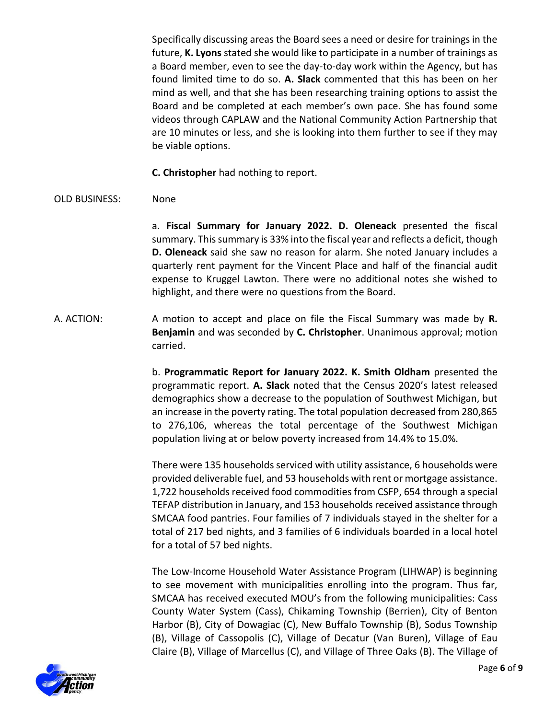Specifically discussing areas the Board sees a need or desire for trainings in the future, **K. Lyons** stated she would like to participate in a number of trainings as a Board member, even to see the day-to-day work within the Agency, but has found limited time to do so. **A. Slack** commented that this has been on her mind as well, and that she has been researching training options to assist the Board and be completed at each member's own pace. She has found some videos through CAPLAW and the National Community Action Partnership that are 10 minutes or less, and she is looking into them further to see if they may be viable options.

**C. Christopher** had nothing to report.

## OLD BUSINESS: None

a. **Fiscal Summary for January 2022. D. Oleneack** presented the fiscal summary. This summary is 33% into the fiscal year and reflects a deficit, though **D. Oleneack** said she saw no reason for alarm. She noted January includes a quarterly rent payment for the Vincent Place and half of the financial audit expense to Kruggel Lawton. There were no additional notes she wished to highlight, and there were no questions from the Board.

A. ACTION: A motion to accept and place on file the Fiscal Summary was made by **R. Benjamin** and was seconded by **C. Christopher**. Unanimous approval; motion carried.

> b. **Programmatic Report for January 2022. K. Smith Oldham** presented the programmatic report. **A. Slack** noted that the Census 2020's latest released demographics show a decrease to the population of Southwest Michigan, but an increase in the poverty rating. The total population decreased from 280,865 to 276,106, whereas the total percentage of the Southwest Michigan population living at or below poverty increased from 14.4% to 15.0%.

> There were 135 households serviced with utility assistance, 6 households were provided deliverable fuel, and 53 households with rent or mortgage assistance. 1,722 households received food commodities from CSFP, 654 through a special TEFAP distribution in January, and 153 households received assistance through SMCAA food pantries. Four families of 7 individuals stayed in the shelter for a total of 217 bed nights, and 3 families of 6 individuals boarded in a local hotel for a total of 57 bed nights.

> The Low-Income Household Water Assistance Program (LIHWAP) is beginning to see movement with municipalities enrolling into the program. Thus far, SMCAA has received executed MOU's from the following municipalities: Cass County Water System (Cass), Chikaming Township (Berrien), City of Benton Harbor (B), City of Dowagiac (C), New Buffalo Township (B), Sodus Township (B), Village of Cassopolis (C), Village of Decatur (Van Buren), Village of Eau Claire (B), Village of Marcellus (C), and Village of Three Oaks (B). The Village of

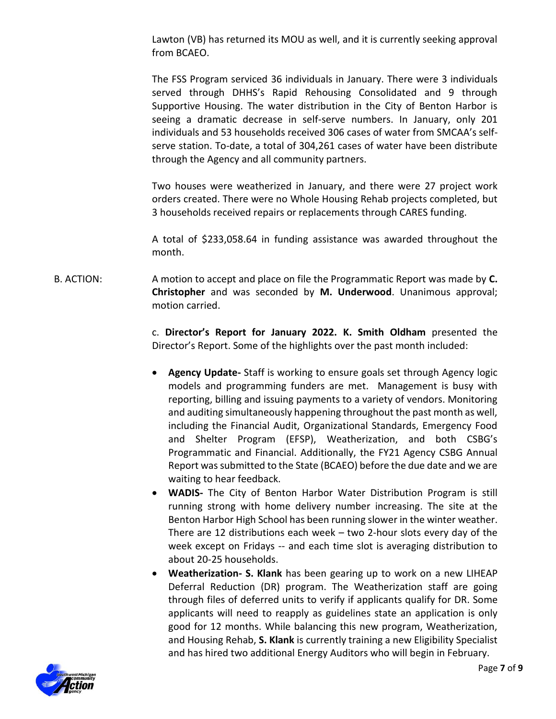Lawton (VB) has returned its MOU as well, and it is currently seeking approval from BCAEO.

The FSS Program serviced 36 individuals in January. There were 3 individuals served through DHHS's Rapid Rehousing Consolidated and 9 through Supportive Housing. The water distribution in the City of Benton Harbor is seeing a dramatic decrease in self-serve numbers. In January, only 201 individuals and 53 households received 306 cases of water from SMCAA's selfserve station. To-date, a total of 304,261 cases of water have been distribute through the Agency and all community partners.

Two houses were weatherized in January, and there were 27 project work orders created. There were no Whole Housing Rehab projects completed, but 3 households received repairs or replacements through CARES funding.

A total of \$233,058.64 in funding assistance was awarded throughout the month.

B. ACTION: A motion to accept and place on file the Programmatic Report was made by **C. Christopher** and was seconded by **M. Underwood**. Unanimous approval; motion carried.

> c. **Director's Report for January 2022. K. Smith Oldham** presented the Director's Report. Some of the highlights over the past month included:

- **Agency Update-** Staff is working to ensure goals set through Agency logic models and programming funders are met. Management is busy with reporting, billing and issuing payments to a variety of vendors. Monitoring and auditing simultaneously happening throughout the past month as well, including the Financial Audit, Organizational Standards, Emergency Food and Shelter Program (EFSP), Weatherization, and both CSBG's Programmatic and Financial. Additionally, the FY21 Agency CSBG Annual Report was submitted to the State (BCAEO) before the due date and we are waiting to hear feedback.
- **WADIS-** The City of Benton Harbor Water Distribution Program is still running strong with home delivery number increasing. The site at the Benton Harbor High School has been running slower in the winter weather. There are 12 distributions each week – two 2-hour slots every day of the week except on Fridays -- and each time slot is averaging distribution to about 20-25 households.
- **Weatherization- S. Klank** has been gearing up to work on a new LIHEAP Deferral Reduction (DR) program. The Weatherization staff are going through files of deferred units to verify if applicants qualify for DR. Some applicants will need to reapply as guidelines state an application is only good for 12 months. While balancing this new program, Weatherization, and Housing Rehab, **S. Klank** is currently training a new Eligibility Specialist and has hired two additional Energy Auditors who will begin in February.

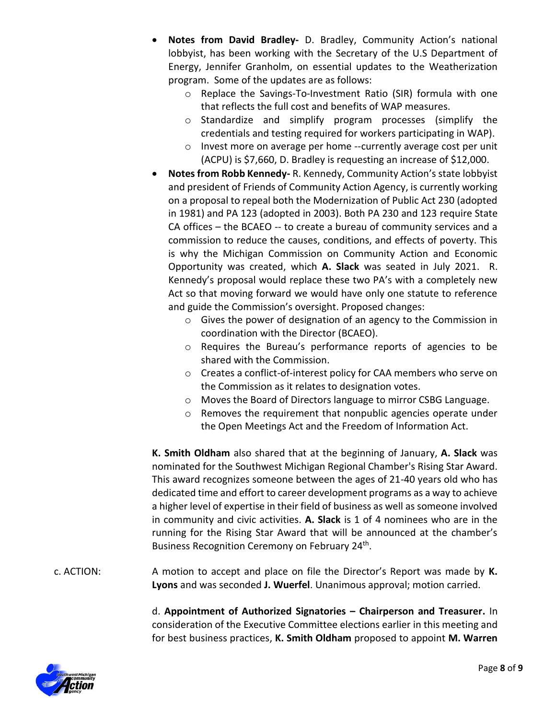- **Notes from David Bradley-** D. Bradley, Community Action's national lobbyist, has been working with the Secretary of the U.S Department of Energy, Jennifer Granholm, on essential updates to the Weatherization program. Some of the updates are as follows:
	- o Replace the Savings-To-Investment Ratio (SIR) formula with one that reflects the full cost and benefits of WAP measures.
	- o Standardize and simplify program processes (simplify the credentials and testing required for workers participating in WAP).
	- o Invest more on average per home --currently average cost per unit (ACPU) is \$7,660, D. Bradley is requesting an increase of \$12,000.
- **Notes from Robb Kennedy-** R. Kennedy, Community Action's state lobbyist and president of Friends of Community Action Agency, is currently working on a proposal to repeal both the Modernization of Public Act 230 (adopted in 1981) and PA 123 (adopted in 2003). Both PA 230 and 123 require State CA offices – the BCAEO -- to create a bureau of community services and a commission to reduce the causes, conditions, and effects of poverty. This is why the Michigan Commission on Community Action and Economic Opportunity was created, which **A. Slack** was seated in July 2021. R. Kennedy's proposal would replace these two PA's with a completely new Act so that moving forward we would have only one statute to reference and guide the Commission's oversight. Proposed changes:
	- o Gives the power of designation of an agency to the Commission in coordination with the Director (BCAEO).
	- o Requires the Bureau's performance reports of agencies to be shared with the Commission.
	- o Creates a conflict-of-interest policy for CAA members who serve on the Commission as it relates to designation votes.
	- o Moves the Board of Directors language to mirror CSBG Language.
	- o Removes the requirement that nonpublic agencies operate under the Open Meetings Act and the Freedom of Information Act.

**K. Smith Oldham** also shared that at the beginning of January, **A. Slack** was nominated for the Southwest Michigan Regional Chamber's Rising Star Award. This award recognizes someone between the ages of 21-40 years old who has dedicated time and effort to career development programs as a way to achieve a higher level of expertise in their field of business as well as someone involved in community and civic activities. **A. Slack** is 1 of 4 nominees who are in the running for the Rising Star Award that will be announced at the chamber's Business Recognition Ceremony on February 24<sup>th</sup>.

c. ACTION: A motion to accept and place on file the Director's Report was made by **K. Lyons** and was seconded **J. Wuerfel**. Unanimous approval; motion carried.

> d. **Appointment of Authorized Signatories – Chairperson and Treasurer.** In consideration of the Executive Committee elections earlier in this meeting and for best business practices, **K. Smith Oldham** proposed to appoint **M. Warren**